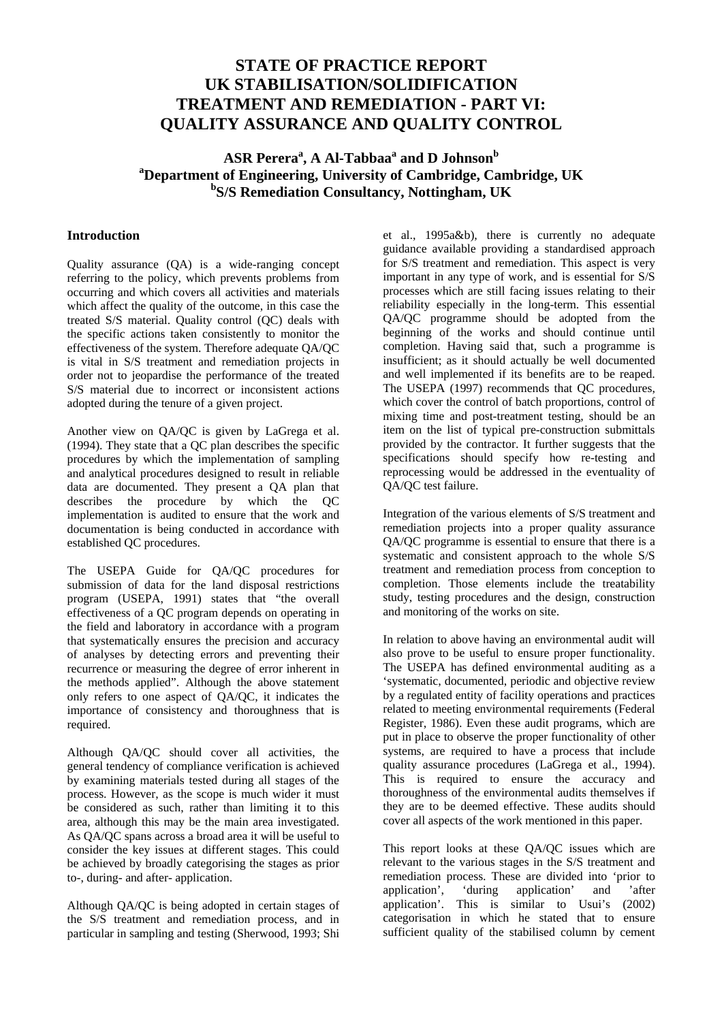# **STATE OF PRACTICE REPORT UK STABILISATION/SOLIDIFICATION TREATMENT AND REMEDIATION - PART VI: QUALITY ASSURANCE AND QUALITY CONTROL**

**ASR Perera<sup>a</sup> , A Al-Tabbaa<sup>a</sup> and D Johnson<sup>b</sup> a Department of Engineering, University of Cambridge, Cambridge, UK b S/S Remediation Consultancy, Nottingham, UK** 

# **Introduction**

Quality assurance (QA) is a wide-ranging concept referring to the policy, which prevents problems from occurring and which covers all activities and materials which affect the quality of the outcome, in this case the treated S/S material. Quality control (QC) deals with the specific actions taken consistently to monitor the effectiveness of the system. Therefore adequate QA/QC is vital in S/S treatment and remediation projects in order not to jeopardise the performance of the treated S/S material due to incorrect or inconsistent actions adopted during the tenure of a given project.

Another view on QA/QC is given by LaGrega et al. (1994). They state that a QC plan describes the specific procedures by which the implementation of sampling and analytical procedures designed to result in reliable data are documented. They present a QA plan that describes the procedure by which the QC implementation is audited to ensure that the work and documentation is being conducted in accordance with established QC procedures.

The USEPA Guide for QA/QC procedures for submission of data for the land disposal restrictions program (USEPA, 1991) states that "the overall effectiveness of a QC program depends on operating in the field and laboratory in accordance with a program that systematically ensures the precision and accuracy of analyses by detecting errors and preventing their recurrence or measuring the degree of error inherent in the methods applied". Although the above statement only refers to one aspect of QA/QC, it indicates the importance of consistency and thoroughness that is required.

Although QA/QC should cover all activities, the general tendency of compliance verification is achieved by examining materials tested during all stages of the process. However, as the scope is much wider it must be considered as such, rather than limiting it to this area, although this may be the main area investigated. As QA/QC spans across a broad area it will be useful to consider the key issues at different stages. This could be achieved by broadly categorising the stages as prior to-, during- and after- application.

Although QA/QC is being adopted in certain stages of the S/S treatment and remediation process, and in particular in sampling and testing (Sherwood, 1993; Shi

et al., 1995a&b), there is currently no adequate guidance available providing a standardised approach for S/S treatment and remediation. This aspect is very important in any type of work, and is essential for S/S processes which are still facing issues relating to their reliability especially in the long-term. This essential QA/QC programme should be adopted from the beginning of the works and should continue until completion. Having said that, such a programme is insufficient; as it should actually be well documented and well implemented if its benefits are to be reaped. The USEPA (1997) recommends that QC procedures, which cover the control of batch proportions, control of mixing time and post-treatment testing, should be an item on the list of typical pre-construction submittals provided by the contractor. It further suggests that the specifications should specify how re-testing and reprocessing would be addressed in the eventuality of QA/QC test failure.

Integration of the various elements of S/S treatment and remediation projects into a proper quality assurance QA/QC programme is essential to ensure that there is a systematic and consistent approach to the whole S/S treatment and remediation process from conception to completion. Those elements include the treatability study, testing procedures and the design, construction and monitoring of the works on site.

In relation to above having an environmental audit will also prove to be useful to ensure proper functionality. The USEPA has defined environmental auditing as a 'systematic, documented, periodic and objective review by a regulated entity of facility operations and practices related to meeting environmental requirements (Federal Register, 1986). Even these audit programs, which are put in place to observe the proper functionality of other systems, are required to have a process that include quality assurance procedures (LaGrega et al., 1994). This is required to ensure the accuracy and thoroughness of the environmental audits themselves if they are to be deemed effective. These audits should cover all aspects of the work mentioned in this paper.

This report looks at these QA/QC issues which are relevant to the various stages in the S/S treatment and remediation process. These are divided into 'prior to application', 'during application' and 'after application'. This is similar to Usui's (2002) categorisation in which he stated that to ensure sufficient quality of the stabilised column by cement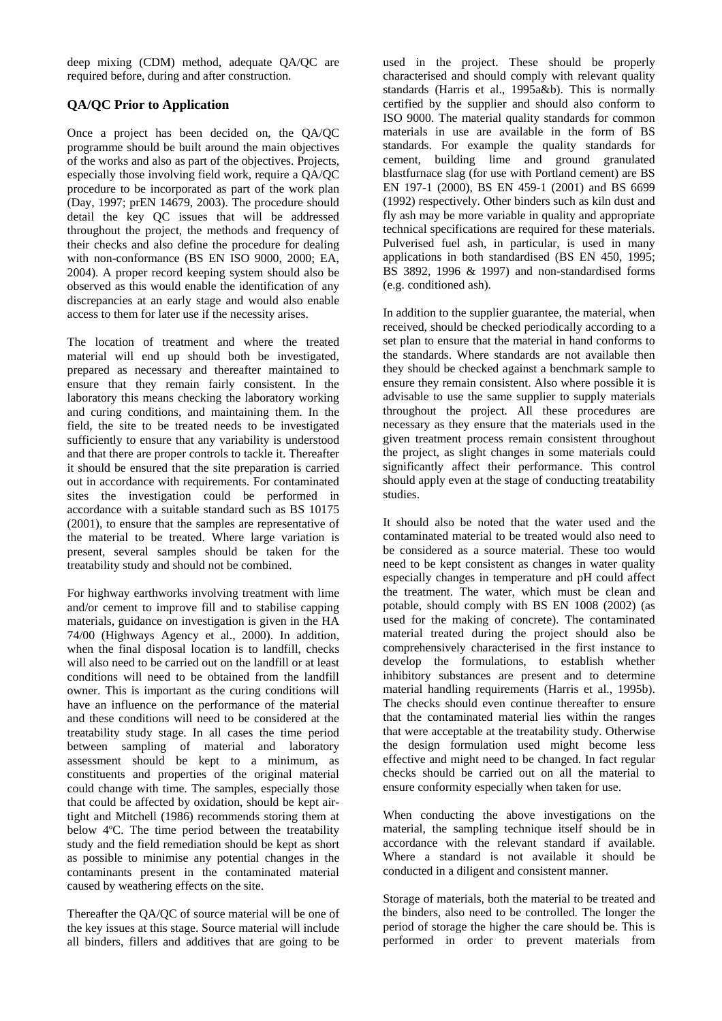deep mixing (CDM) method, adequate QA/QC are required before, during and after construction.

# **QA/QC Prior to Application**

Once a project has been decided on, the QA/QC programme should be built around the main objectives of the works and also as part of the objectives. Projects, especially those involving field work, require a QA/QC procedure to be incorporated as part of the work plan (Day, 1997; prEN 14679, 2003). The procedure should detail the key QC issues that will be addressed throughout the project, the methods and frequency of their checks and also define the procedure for dealing with non-conformance (BS EN ISO 9000, 2000; EA, 2004). A proper record keeping system should also be observed as this would enable the identification of any discrepancies at an early stage and would also enable access to them for later use if the necessity arises.

The location of treatment and where the treated material will end up should both be investigated, prepared as necessary and thereafter maintained to ensure that they remain fairly consistent. In the laboratory this means checking the laboratory working and curing conditions, and maintaining them. In the field, the site to be treated needs to be investigated sufficiently to ensure that any variability is understood and that there are proper controls to tackle it. Thereafter it should be ensured that the site preparation is carried out in accordance with requirements. For contaminated sites the investigation could be performed in accordance with a suitable standard such as BS 10175 (2001), to ensure that the samples are representative of the material to be treated. Where large variation is present, several samples should be taken for the treatability study and should not be combined.

For highway earthworks involving treatment with lime and/or cement to improve fill and to stabilise capping materials, guidance on investigation is given in the HA 74/00 (Highways Agency et al., 2000). In addition, when the final disposal location is to landfill, checks will also need to be carried out on the landfill or at least conditions will need to be obtained from the landfill owner. This is important as the curing conditions will have an influence on the performance of the material and these conditions will need to be considered at the treatability study stage. In all cases the time period between sampling of material and laboratory assessment should be kept to a minimum, as constituents and properties of the original material could change with time. The samples, especially those that could be affected by oxidation, should be kept airtight and Mitchell (1986) recommends storing them at below 4ºC. The time period between the treatability study and the field remediation should be kept as short as possible to minimise any potential changes in the contaminants present in the contaminated material caused by weathering effects on the site.

Thereafter the QA/QC of source material will be one of the key issues at this stage. Source material will include all binders, fillers and additives that are going to be used in the project. These should be properly characterised and should comply with relevant quality standards (Harris et al., 1995a&b). This is normally certified by the supplier and should also conform to ISO 9000. The material quality standards for common materials in use are available in the form of BS standards. For example the quality standards for cement, building lime and ground granulated blastfurnace slag (for use with Portland cement) are BS EN 197-1 (2000), BS EN 459-1 (2001) and BS 6699 (1992) respectively. Other binders such as kiln dust and fly ash may be more variable in quality and appropriate technical specifications are required for these materials. Pulverised fuel ash, in particular, is used in many applications in both standardised (BS EN 450, 1995; BS 3892, 1996 & 1997) and non-standardised forms (e.g. conditioned ash).

In addition to the supplier guarantee, the material, when received, should be checked periodically according to a set plan to ensure that the material in hand conforms to the standards. Where standards are not available then they should be checked against a benchmark sample to ensure they remain consistent. Also where possible it is advisable to use the same supplier to supply materials throughout the project. All these procedures are necessary as they ensure that the materials used in the given treatment process remain consistent throughout the project, as slight changes in some materials could significantly affect their performance. This control should apply even at the stage of conducting treatability studies.

It should also be noted that the water used and the contaminated material to be treated would also need to be considered as a source material. These too would need to be kept consistent as changes in water quality especially changes in temperature and pH could affect the treatment. The water, which must be clean and potable, should comply with BS EN 1008 (2002) (as used for the making of concrete). The contaminated material treated during the project should also be comprehensively characterised in the first instance to develop the formulations, to establish whether inhibitory substances are present and to determine material handling requirements (Harris et al., 1995b). The checks should even continue thereafter to ensure that the contaminated material lies within the ranges that were acceptable at the treatability study. Otherwise the design formulation used might become less effective and might need to be changed. In fact regular checks should be carried out on all the material to ensure conformity especially when taken for use.

When conducting the above investigations on the material, the sampling technique itself should be in accordance with the relevant standard if available. Where a standard is not available it should be conducted in a diligent and consistent manner.

Storage of materials, both the material to be treated and the binders, also need to be controlled. The longer the period of storage the higher the care should be. This is performed in order to prevent materials from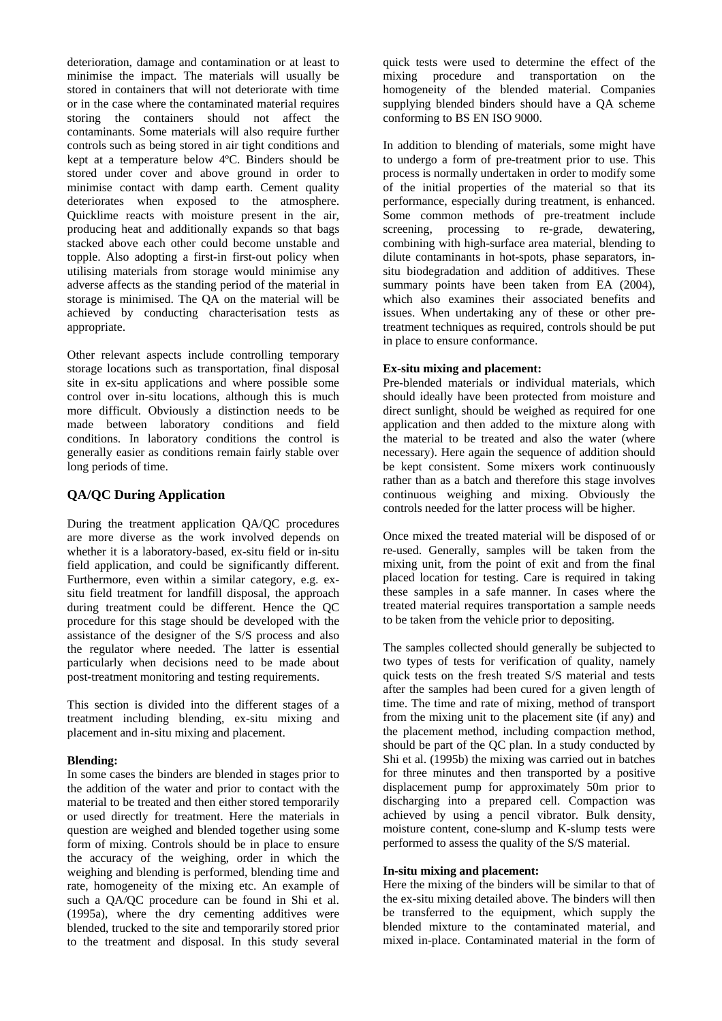deterioration, damage and contamination or at least to minimise the impact. The materials will usually be stored in containers that will not deteriorate with time or in the case where the contaminated material requires storing the containers should not affect the contaminants. Some materials will also require further controls such as being stored in air tight conditions and kept at a temperature below 4ºC. Binders should be stored under cover and above ground in order to minimise contact with damp earth. Cement quality deteriorates when exposed to the atmosphere. Quicklime reacts with moisture present in the air, producing heat and additionally expands so that bags stacked above each other could become unstable and topple. Also adopting a first-in first-out policy when utilising materials from storage would minimise any adverse affects as the standing period of the material in storage is minimised. The QA on the material will be achieved by conducting characterisation tests as appropriate.

Other relevant aspects include controlling temporary storage locations such as transportation, final disposal site in ex-situ applications and where possible some control over in-situ locations, although this is much more difficult. Obviously a distinction needs to be made between laboratory conditions and field conditions. In laboratory conditions the control is generally easier as conditions remain fairly stable over long periods of time.

# **QA/QC During Application**

During the treatment application QA/QC procedures are more diverse as the work involved depends on whether it is a laboratory-based, ex-situ field or in-situ field application, and could be significantly different. Furthermore, even within a similar category, e.g. exsitu field treatment for landfill disposal, the approach during treatment could be different. Hence the QC procedure for this stage should be developed with the assistance of the designer of the S/S process and also the regulator where needed. The latter is essential particularly when decisions need to be made about post-treatment monitoring and testing requirements.

This section is divided into the different stages of a treatment including blending, ex-situ mixing and placement and in-situ mixing and placement.

## **Blending:**

In some cases the binders are blended in stages prior to the addition of the water and prior to contact with the material to be treated and then either stored temporarily or used directly for treatment. Here the materials in question are weighed and blended together using some form of mixing. Controls should be in place to ensure the accuracy of the weighing, order in which the weighing and blending is performed, blending time and rate, homogeneity of the mixing etc. An example of such a QA/QC procedure can be found in Shi et al. (1995a), where the dry cementing additives were blended, trucked to the site and temporarily stored prior to the treatment and disposal. In this study several quick tests were used to determine the effect of the mixing procedure and transportation on the homogeneity of the blended material. Companies supplying blended binders should have a QA scheme conforming to BS EN ISO 9000.

In addition to blending of materials, some might have to undergo a form of pre-treatment prior to use. This process is normally undertaken in order to modify some of the initial properties of the material so that its performance, especially during treatment, is enhanced. Some common methods of pre-treatment include screening, processing to re-grade, dewatering, combining with high-surface area material, blending to dilute contaminants in hot-spots, phase separators, insitu biodegradation and addition of additives. These summary points have been taken from EA (2004), which also examines their associated benefits and issues. When undertaking any of these or other pretreatment techniques as required, controls should be put in place to ensure conformance.

## **Ex-situ mixing and placement:**

Pre-blended materials or individual materials, which should ideally have been protected from moisture and direct sunlight, should be weighed as required for one application and then added to the mixture along with the material to be treated and also the water (where necessary). Here again the sequence of addition should be kept consistent. Some mixers work continuously rather than as a batch and therefore this stage involves continuous weighing and mixing. Obviously the controls needed for the latter process will be higher.

Once mixed the treated material will be disposed of or re-used. Generally, samples will be taken from the mixing unit, from the point of exit and from the final placed location for testing. Care is required in taking these samples in a safe manner. In cases where the treated material requires transportation a sample needs to be taken from the vehicle prior to depositing.

The samples collected should generally be subjected to two types of tests for verification of quality, namely quick tests on the fresh treated S/S material and tests after the samples had been cured for a given length of time. The time and rate of mixing, method of transport from the mixing unit to the placement site (if any) and the placement method, including compaction method, should be part of the QC plan. In a study conducted by Shi et al. (1995b) the mixing was carried out in batches for three minutes and then transported by a positive displacement pump for approximately 50m prior to discharging into a prepared cell. Compaction was achieved by using a pencil vibrator. Bulk density, moisture content, cone-slump and K-slump tests were performed to assess the quality of the S/S material.

## **In-situ mixing and placement:**

Here the mixing of the binders will be similar to that of the ex-situ mixing detailed above. The binders will then be transferred to the equipment, which supply the blended mixture to the contaminated material, and mixed in-place. Contaminated material in the form of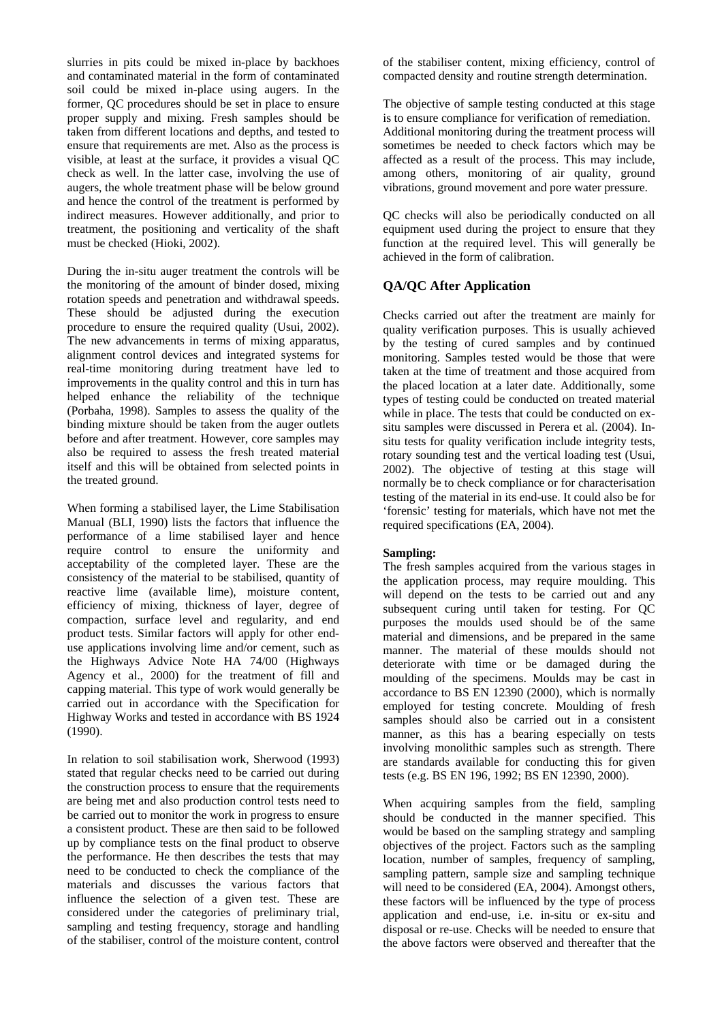slurries in pits could be mixed in-place by backhoes and contaminated material in the form of contaminated soil could be mixed in-place using augers. In the former, QC procedures should be set in place to ensure proper supply and mixing. Fresh samples should be taken from different locations and depths, and tested to ensure that requirements are met. Also as the process is visible, at least at the surface, it provides a visual QC check as well. In the latter case, involving the use of augers, the whole treatment phase will be below ground and hence the control of the treatment is performed by indirect measures. However additionally, and prior to treatment, the positioning and verticality of the shaft must be checked (Hioki, 2002).

During the in-situ auger treatment the controls will be the monitoring of the amount of binder dosed, mixing rotation speeds and penetration and withdrawal speeds. These should be adjusted during the execution procedure to ensure the required quality (Usui, 2002). The new advancements in terms of mixing apparatus, alignment control devices and integrated systems for real-time monitoring during treatment have led to improvements in the quality control and this in turn has helped enhance the reliability of the technique (Porbaha, 1998). Samples to assess the quality of the binding mixture should be taken from the auger outlets before and after treatment. However, core samples may also be required to assess the fresh treated material itself and this will be obtained from selected points in the treated ground.

When forming a stabilised layer, the Lime Stabilisation Manual (BLI, 1990) lists the factors that influence the performance of a lime stabilised layer and hence require control to ensure the uniformity and acceptability of the completed layer. These are the consistency of the material to be stabilised, quantity of reactive lime (available lime), moisture content, efficiency of mixing, thickness of layer, degree of compaction, surface level and regularity, and end product tests. Similar factors will apply for other enduse applications involving lime and/or cement, such as the Highways Advice Note HA 74/00 (Highways Agency et al., 2000) for the treatment of fill and capping material. This type of work would generally be carried out in accordance with the Specification for Highway Works and tested in accordance with BS 1924 (1990).

In relation to soil stabilisation work, Sherwood (1993) stated that regular checks need to be carried out during the construction process to ensure that the requirements are being met and also production control tests need to be carried out to monitor the work in progress to ensure a consistent product. These are then said to be followed up by compliance tests on the final product to observe the performance. He then describes the tests that may need to be conducted to check the compliance of the materials and discusses the various factors that influence the selection of a given test. These are considered under the categories of preliminary trial, sampling and testing frequency, storage and handling of the stabiliser, control of the moisture content, control of the stabiliser content, mixing efficiency, control of compacted density and routine strength determination.

The objective of sample testing conducted at this stage is to ensure compliance for verification of remediation. Additional monitoring during the treatment process will sometimes be needed to check factors which may be affected as a result of the process. This may include, among others, monitoring of air quality, ground vibrations, ground movement and pore water pressure.

QC checks will also be periodically conducted on all equipment used during the project to ensure that they function at the required level. This will generally be achieved in the form of calibration.

# **QA/QC After Application**

Checks carried out after the treatment are mainly for quality verification purposes. This is usually achieved by the testing of cured samples and by continued monitoring. Samples tested would be those that were taken at the time of treatment and those acquired from the placed location at a later date. Additionally, some types of testing could be conducted on treated material while in place. The tests that could be conducted on exsitu samples were discussed in Perera et al. (2004). Insitu tests for quality verification include integrity tests, rotary sounding test and the vertical loading test (Usui, 2002). The objective of testing at this stage will normally be to check compliance or for characterisation testing of the material in its end-use. It could also be for 'forensic' testing for materials, which have not met the required specifications (EA, 2004).

## **Sampling:**

The fresh samples acquired from the various stages in the application process, may require moulding. This will depend on the tests to be carried out and any subsequent curing until taken for testing. For QC purposes the moulds used should be of the same material and dimensions, and be prepared in the same manner. The material of these moulds should not deteriorate with time or be damaged during the moulding of the specimens. Moulds may be cast in accordance to BS EN 12390 (2000), which is normally employed for testing concrete. Moulding of fresh samples should also be carried out in a consistent manner, as this has a bearing especially on tests involving monolithic samples such as strength. There are standards available for conducting this for given tests (e.g. BS EN 196, 1992; BS EN 12390, 2000).

When acquiring samples from the field, sampling should be conducted in the manner specified. This would be based on the sampling strategy and sampling objectives of the project. Factors such as the sampling location, number of samples, frequency of sampling, sampling pattern, sample size and sampling technique will need to be considered (EA, 2004). Amongst others, these factors will be influenced by the type of process application and end-use, i.e. in-situ or ex-situ and disposal or re-use. Checks will be needed to ensure that the above factors were observed and thereafter that the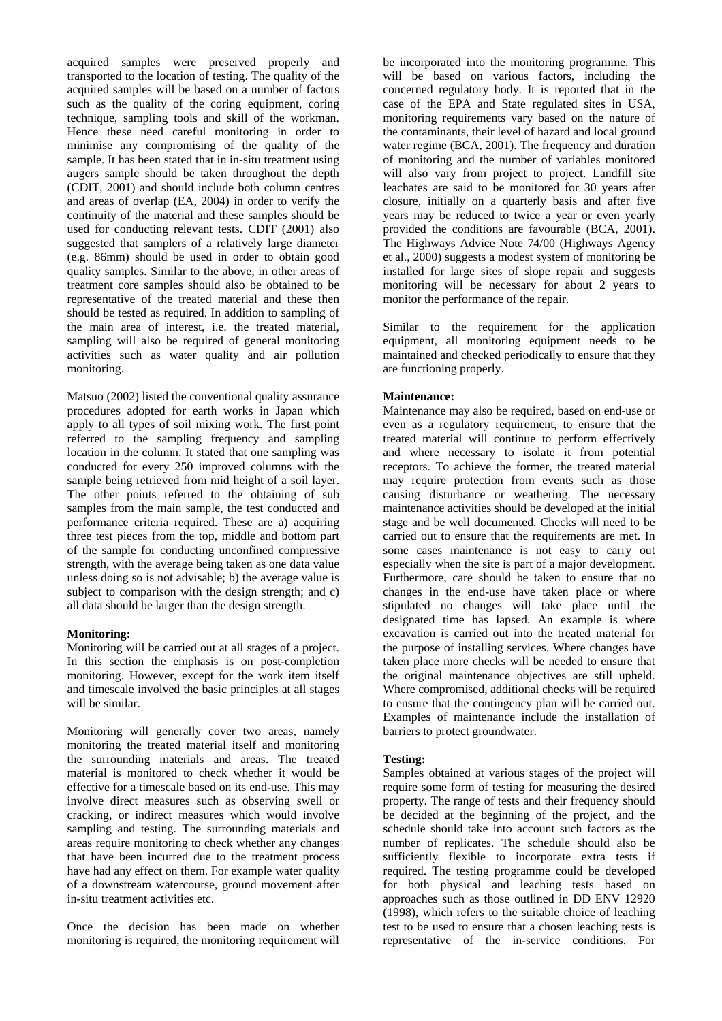acquired samples were preserved properly and transported to the location of testing. The quality of the acquired samples will be based on a number of factors such as the quality of the coring equipment, coring technique, sampling tools and skill of the workman. Hence these need careful monitoring in order to minimise any compromising of the quality of the sample. It has been stated that in in-situ treatment using augers sample should be taken throughout the depth (CDIT, 2001) and should include both column centres and areas of overlap (EA, 2004) in order to verify the continuity of the material and these samples should be used for conducting relevant tests. CDIT (2001) also suggested that samplers of a relatively large diameter (e.g. 86mm) should be used in order to obtain good quality samples. Similar to the above, in other areas of treatment core samples should also be obtained to be representative of the treated material and these then should be tested as required. In addition to sampling of the main area of interest, i.e. the treated material, sampling will also be required of general monitoring activities such as water quality and air pollution monitoring.

Matsuo (2002) listed the conventional quality assurance procedures adopted for earth works in Japan which apply to all types of soil mixing work. The first point referred to the sampling frequency and sampling location in the column. It stated that one sampling was conducted for every 250 improved columns with the sample being retrieved from mid height of a soil layer. The other points referred to the obtaining of sub samples from the main sample, the test conducted and performance criteria required. These are a) acquiring three test pieces from the top, middle and bottom part of the sample for conducting unconfined compressive strength, with the average being taken as one data value unless doing so is not advisable; b) the average value is subject to comparison with the design strength; and c) all data should be larger than the design strength.

#### **Monitoring:**

Monitoring will be carried out at all stages of a project. In this section the emphasis is on post-completion monitoring. However, except for the work item itself and timescale involved the basic principles at all stages will be similar.

Monitoring will generally cover two areas, namely monitoring the treated material itself and monitoring the surrounding materials and areas. The treated material is monitored to check whether it would be effective for a timescale based on its end-use. This may involve direct measures such as observing swell or cracking, or indirect measures which would involve sampling and testing. The surrounding materials and areas require monitoring to check whether any changes that have been incurred due to the treatment process have had any effect on them. For example water quality of a downstream watercourse, ground movement after in-situ treatment activities etc.

Once the decision has been made on whether monitoring is required, the monitoring requirement will be incorporated into the monitoring programme. This will be based on various factors, including the concerned regulatory body. It is reported that in the case of the EPA and State regulated sites in USA, monitoring requirements vary based on the nature of the contaminants, their level of hazard and local ground water regime (BCA, 2001). The frequency and duration of monitoring and the number of variables monitored will also vary from project to project. Landfill site leachates are said to be monitored for 30 years after closure, initially on a quarterly basis and after five years may be reduced to twice a year or even yearly provided the conditions are favourable (BCA, 2001). The Highways Advice Note 74/00 (Highways Agency et al., 2000) suggests a modest system of monitoring be installed for large sites of slope repair and suggests monitoring will be necessary for about 2 years to monitor the performance of the repair.

Similar to the requirement for the application equipment, all monitoring equipment needs to be maintained and checked periodically to ensure that they are functioning properly.

#### **Maintenance:**

Maintenance may also be required, based on end-use or even as a regulatory requirement, to ensure that the treated material will continue to perform effectively and where necessary to isolate it from potential receptors. To achieve the former, the treated material may require protection from events such as those causing disturbance or weathering. The necessary maintenance activities should be developed at the initial stage and be well documented. Checks will need to be carried out to ensure that the requirements are met. In some cases maintenance is not easy to carry out especially when the site is part of a major development. Furthermore, care should be taken to ensure that no changes in the end-use have taken place or where stipulated no changes will take place until the designated time has lapsed. An example is where excavation is carried out into the treated material for the purpose of installing services. Where changes have taken place more checks will be needed to ensure that the original maintenance objectives are still upheld. Where compromised, additional checks will be required to ensure that the contingency plan will be carried out. Examples of maintenance include the installation of barriers to protect groundwater.

#### **Testing:**

Samples obtained at various stages of the project will require some form of testing for measuring the desired property. The range of tests and their frequency should be decided at the beginning of the project, and the schedule should take into account such factors as the number of replicates. The schedule should also be sufficiently flexible to incorporate extra tests if required. The testing programme could be developed for both physical and leaching tests based on approaches such as those outlined in DD ENV 12920 (1998), which refers to the suitable choice of leaching test to be used to ensure that a chosen leaching tests is representative of the in-service conditions. For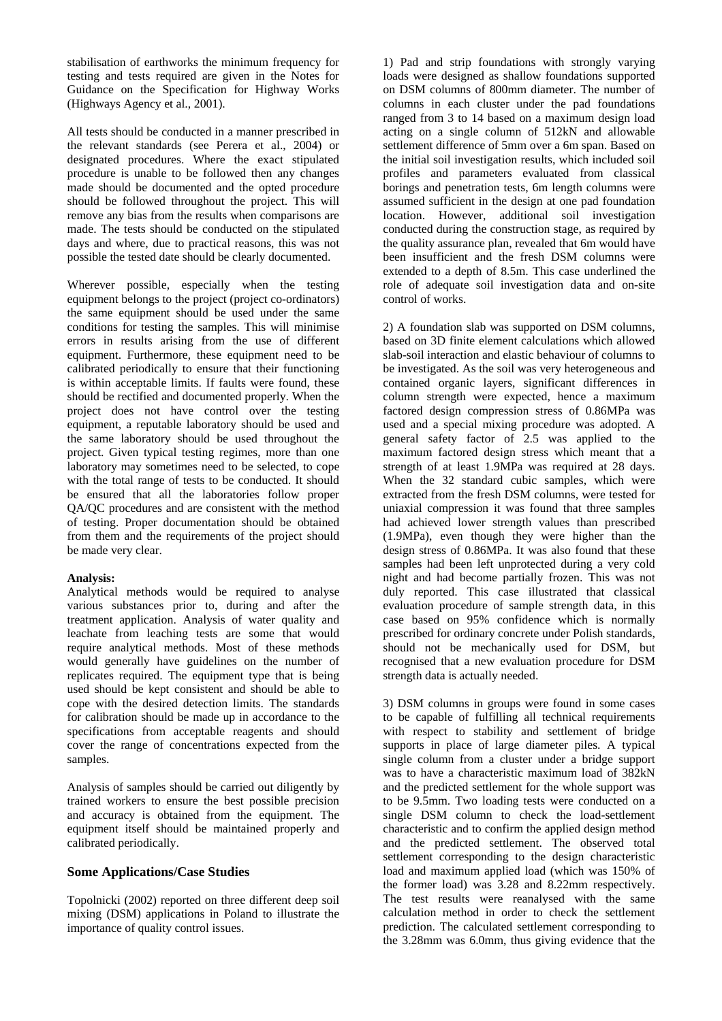stabilisation of earthworks the minimum frequency for testing and tests required are given in the Notes for Guidance on the Specification for Highway Works (Highways Agency et al., 2001).

All tests should be conducted in a manner prescribed in the relevant standards (see Perera et al., 2004) or designated procedures. Where the exact stipulated procedure is unable to be followed then any changes made should be documented and the opted procedure should be followed throughout the project. This will remove any bias from the results when comparisons are made. The tests should be conducted on the stipulated days and where, due to practical reasons, this was not possible the tested date should be clearly documented.

Wherever possible, especially when the testing equipment belongs to the project (project co-ordinators) the same equipment should be used under the same conditions for testing the samples. This will minimise errors in results arising from the use of different equipment. Furthermore, these equipment need to be calibrated periodically to ensure that their functioning is within acceptable limits. If faults were found, these should be rectified and documented properly. When the project does not have control over the testing equipment, a reputable laboratory should be used and the same laboratory should be used throughout the project. Given typical testing regimes, more than one laboratory may sometimes need to be selected, to cope with the total range of tests to be conducted. It should be ensured that all the laboratories follow proper QA/QC procedures and are consistent with the method of testing. Proper documentation should be obtained from them and the requirements of the project should be made very clear.

## **Analysis:**

Analytical methods would be required to analyse various substances prior to, during and after the treatment application. Analysis of water quality and leachate from leaching tests are some that would require analytical methods. Most of these methods would generally have guidelines on the number of replicates required. The equipment type that is being used should be kept consistent and should be able to cope with the desired detection limits. The standards for calibration should be made up in accordance to the specifications from acceptable reagents and should cover the range of concentrations expected from the samples.

Analysis of samples should be carried out diligently by trained workers to ensure the best possible precision and accuracy is obtained from the equipment. The equipment itself should be maintained properly and calibrated periodically.

## **Some Applications/Case Studies**

Topolnicki (2002) reported on three different deep soil mixing (DSM) applications in Poland to illustrate the importance of quality control issues.

1) Pad and strip foundations with strongly varying loads were designed as shallow foundations supported on DSM columns of 800mm diameter. The number of columns in each cluster under the pad foundations ranged from 3 to 14 based on a maximum design load acting on a single column of 512kN and allowable settlement difference of 5mm over a 6m span. Based on the initial soil investigation results, which included soil profiles and parameters evaluated from classical borings and penetration tests, 6m length columns were assumed sufficient in the design at one pad foundation location. However, additional soil investigation conducted during the construction stage, as required by the quality assurance plan, revealed that 6m would have been insufficient and the fresh DSM columns were extended to a depth of 8.5m. This case underlined the role of adequate soil investigation data and on-site control of works.

2) A foundation slab was supported on DSM columns, based on 3D finite element calculations which allowed slab-soil interaction and elastic behaviour of columns to be investigated. As the soil was very heterogeneous and contained organic layers, significant differences in column strength were expected, hence a maximum factored design compression stress of 0.86MPa was used and a special mixing procedure was adopted. A general safety factor of 2.5 was applied to the maximum factored design stress which meant that a strength of at least 1.9MPa was required at 28 days. When the 32 standard cubic samples, which were extracted from the fresh DSM columns, were tested for uniaxial compression it was found that three samples had achieved lower strength values than prescribed (1.9MPa), even though they were higher than the design stress of 0.86MPa. It was also found that these samples had been left unprotected during a very cold night and had become partially frozen. This was not duly reported. This case illustrated that classical evaluation procedure of sample strength data, in this case based on 95% confidence which is normally prescribed for ordinary concrete under Polish standards, should not be mechanically used for DSM, but recognised that a new evaluation procedure for DSM strength data is actually needed.

3) DSM columns in groups were found in some cases to be capable of fulfilling all technical requirements with respect to stability and settlement of bridge supports in place of large diameter piles. A typical single column from a cluster under a bridge support was to have a characteristic maximum load of 382kN and the predicted settlement for the whole support was to be 9.5mm. Two loading tests were conducted on a single DSM column to check the load-settlement characteristic and to confirm the applied design method and the predicted settlement. The observed total settlement corresponding to the design characteristic load and maximum applied load (which was 150% of the former load) was 3.28 and 8.22mm respectively. The test results were reanalysed with the same calculation method in order to check the settlement prediction. The calculated settlement corresponding to the 3.28mm was 6.0mm, thus giving evidence that the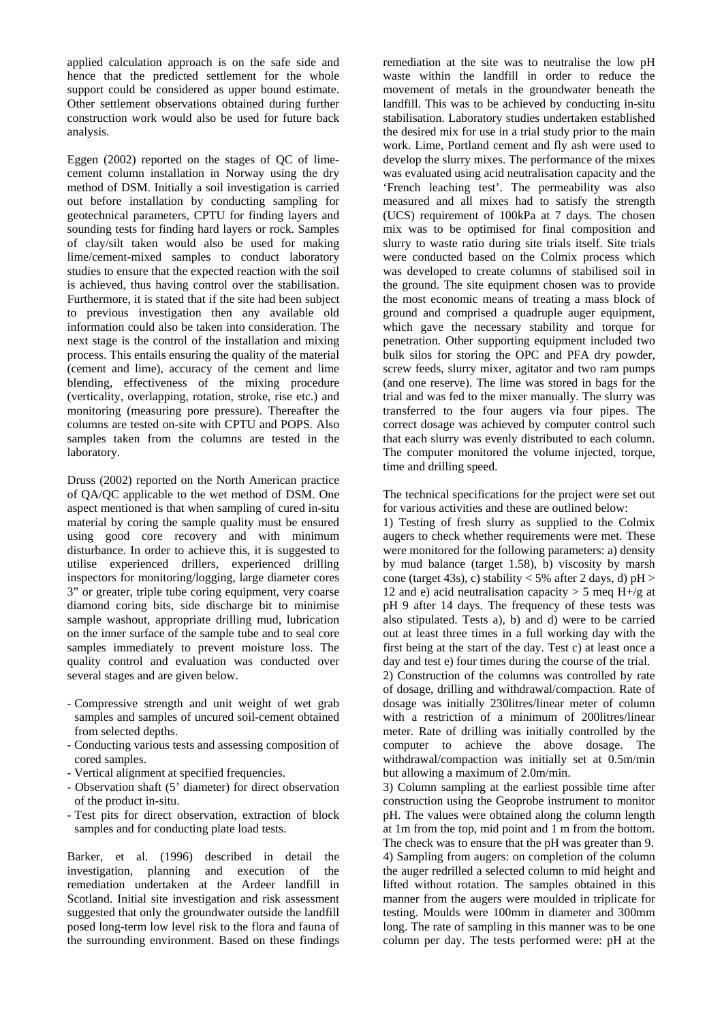applied calculation approach is on the safe side and hence that the predicted settlement for the whole support could be considered as upper bound estimate. Other settlement observations obtained during further construction work would also be used for future back analysis.

Eggen (2002) reported on the stages of QC of limecement column installation in Norway using the dry method of DSM. Initially a soil investigation is carried out before installation by conducting sampling for geotechnical parameters, CPTU for finding layers and sounding tests for finding hard layers or rock. Samples of clay/silt taken would also be used for making lime/cement-mixed samples to conduct laboratory studies to ensure that the expected reaction with the soil is achieved, thus having control over the stabilisation. Furthermore, it is stated that if the site had been subject to previous investigation then any available old information could also be taken into consideration. The next stage is the control of the installation and mixing process. This entails ensuring the quality of the material (cement and lime), accuracy of the cement and lime blending, effectiveness of the mixing procedure (verticality, overlapping, rotation, stroke, rise etc.) and monitoring (measuring pore pressure). Thereafter the columns are tested on-site with CPTU and POPS. Also samples taken from the columns are tested in the laboratory.

Druss (2002) reported on the North American practice of QA/QC applicable to the wet method of DSM. One aspect mentioned is that when sampling of cured in-situ material by coring the sample quality must be ensured using good core recovery and with minimum disturbance. In order to achieve this, it is suggested to utilise experienced drillers, experienced drilling inspectors for monitoring/logging, large diameter cores 3" or greater, triple tube coring equipment, very coarse diamond coring bits, side discharge bit to minimise sample washout, appropriate drilling mud, lubrication on the inner surface of the sample tube and to seal core samples immediately to prevent moisture loss. The quality control and evaluation was conducted over several stages and are given below.

- Compressive strength and unit weight of wet grab samples and samples of uncured soil-cement obtained from selected depths.
- Conducting various tests and assessing composition of cored samples.
- Vertical alignment at specified frequencies.
- Observation shaft (5' diameter) for direct observation of the product in-situ.
- Test pits for direct observation, extraction of block samples and for conducting plate load tests.

Barker, et al. (1996) described in detail the investigation, planning and execution of the remediation undertaken at the Ardeer landfill in Scotland. Initial site investigation and risk assessment suggested that only the groundwater outside the landfill posed long-term low level risk to the flora and fauna of the surrounding environment. Based on these findings remediation at the site was to neutralise the low pH waste within the landfill in order to reduce the movement of metals in the groundwater beneath the landfill. This was to be achieved by conducting in-situ stabilisation. Laboratory studies undertaken established the desired mix for use in a trial study prior to the main work. Lime, Portland cement and fly ash were used to develop the slurry mixes. The performance of the mixes was evaluated using acid neutralisation capacity and the 'French leaching test'. The permeability was also measured and all mixes had to satisfy the strength (UCS) requirement of 100kPa at 7 days. The chosen mix was to be optimised for final composition and slurry to waste ratio during site trials itself. Site trials were conducted based on the Colmix process which was developed to create columns of stabilised soil in the ground. The site equipment chosen was to provide the most economic means of treating a mass block of ground and comprised a quadruple auger equipment, which gave the necessary stability and torque for penetration. Other supporting equipment included two bulk silos for storing the OPC and PFA dry powder, screw feeds, slurry mixer, agitator and two ram pumps (and one reserve). The lime was stored in bags for the trial and was fed to the mixer manually. The slurry was transferred to the four augers via four pipes. The correct dosage was achieved by computer control such that each slurry was evenly distributed to each column. The computer monitored the volume injected, torque, time and drilling speed.

The technical specifications for the project were set out for various activities and these are outlined below:

1) Testing of fresh slurry as supplied to the Colmix augers to check whether requirements were met. These were monitored for the following parameters: a) density by mud balance (target 1.58), b) viscosity by marsh cone (target 43s), c) stability  $<$  5% after 2 days, d) pH  $>$ 12 and e) acid neutralisation capacity  $>$  5 meg H+/g at pH 9 after 14 days. The frequency of these tests was also stipulated. Tests a), b) and d) were to be carried out at least three times in a full working day with the first being at the start of the day. Test c) at least once a day and test e) four times during the course of the trial.

2) Construction of the columns was controlled by rate of dosage, drilling and withdrawal/compaction. Rate of dosage was initially 230litres/linear meter of column with a restriction of a minimum of 200litres/linear meter. Rate of drilling was initially controlled by the computer to achieve the above dosage. The withdrawal/compaction was initially set at 0.5m/min but allowing a maximum of 2.0m/min.

3) Column sampling at the earliest possible time after construction using the Geoprobe instrument to monitor pH. The values were obtained along the column length at 1m from the top, mid point and 1 m from the bottom. The check was to ensure that the pH was greater than 9. 4) Sampling from augers: on completion of the column the auger redrilled a selected column to mid height and lifted without rotation. The samples obtained in this manner from the augers were moulded in triplicate for testing. Moulds were 100mm in diameter and 300mm long. The rate of sampling in this manner was to be one column per day. The tests performed were: pH at the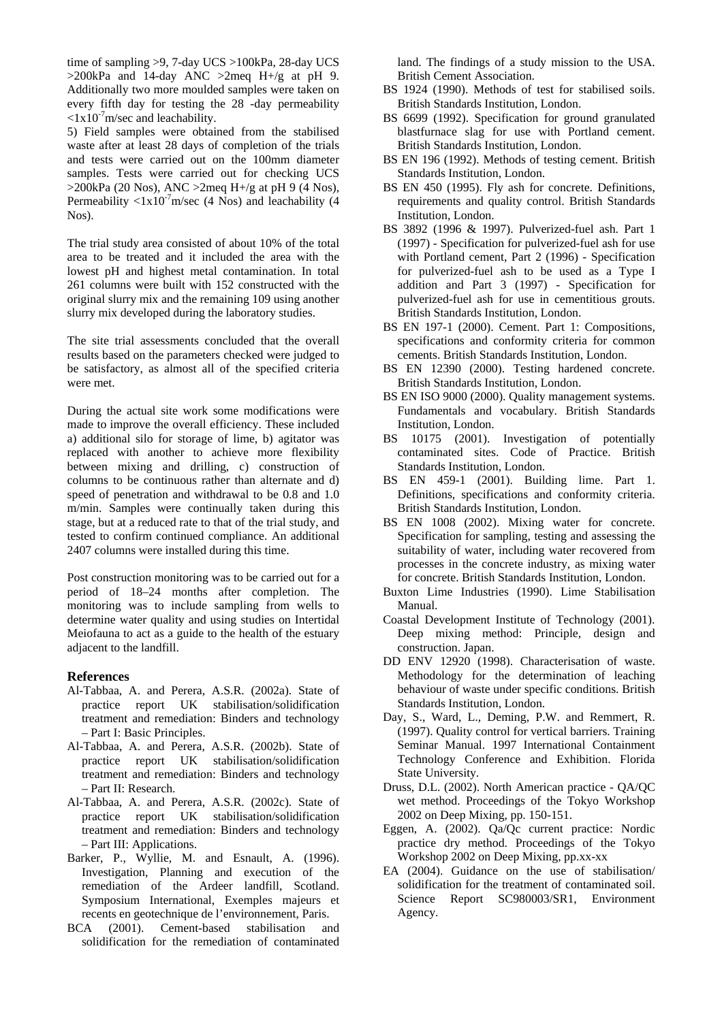time of sampling >9, 7-day UCS >100kPa, 28-day UCS  $>200$ kPa and 14-day ANC  $>2$ meq H+/g at pH 9. Additionally two more moulded samples were taken on every fifth day for testing the 28 -day permeability  $\langle 1x10^7 \text{m/sec}$  and leachability.

5) Field samples were obtained from the stabilised waste after at least 28 days of completion of the trials and tests were carried out on the 100mm diameter samples. Tests were carried out for checking UCS  $>$ 200kPa (20 Nos), ANC  $>$ 2meq H+/g at pH 9 (4 Nos), Permeability  $\langle 1x10^7 \text{m/sec}$  (4 Nos) and leachability (4 Nos).

The trial study area consisted of about 10% of the total area to be treated and it included the area with the lowest pH and highest metal contamination. In total 261 columns were built with 152 constructed with the original slurry mix and the remaining 109 using another slurry mix developed during the laboratory studies.

The site trial assessments concluded that the overall results based on the parameters checked were judged to be satisfactory, as almost all of the specified criteria were met.

During the actual site work some modifications were made to improve the overall efficiency. These included a) additional silo for storage of lime, b) agitator was replaced with another to achieve more flexibility between mixing and drilling, c) construction of columns to be continuous rather than alternate and d) speed of penetration and withdrawal to be 0.8 and 1.0 m/min. Samples were continually taken during this stage, but at a reduced rate to that of the trial study, and tested to confirm continued compliance. An additional 2407 columns were installed during this time.

Post construction monitoring was to be carried out for a period of 18–24 months after completion. The monitoring was to include sampling from wells to determine water quality and using studies on Intertidal Meiofauna to act as a guide to the health of the estuary adjacent to the landfill.

#### **References**

- Al-Tabbaa, A. and Perera, A.S.R. (2002a). State of practice report UK stabilisation/solidification treatment and remediation: Binders and technology – Part I: Basic Principles.
- Al-Tabbaa, A. and Perera, A.S.R. (2002b). State of practice report UK stabilisation/solidification treatment and remediation: Binders and technology – Part II: Research.
- Al-Tabbaa, A. and Perera, A.S.R. (2002c). State of practice report UK stabilisation/solidification treatment and remediation: Binders and technology – Part III: Applications.
- Barker, P., Wyllie, M. and Esnault, A. (1996). Investigation, Planning and execution of the remediation of the Ardeer landfill, Scotland. Symposium International, Exemples majeurs et recents en geotechnique de l'environnement, Paris.
- BCA (2001). Cement-based stabilisation and solidification for the remediation of contaminated

land. The findings of a study mission to the USA. British Cement Association.

- BS 1924 (1990). Methods of test for stabilised soils. British Standards Institution, London.
- BS 6699 (1992). Specification for ground granulated blastfurnace slag for use with Portland cement. British Standards Institution, London.
- BS EN 196 (1992). Methods of testing cement. British Standards Institution, London.
- BS EN 450 (1995). Fly ash for concrete. Definitions, requirements and quality control. British Standards Institution, London.
- BS 3892 (1996 & 1997). Pulverized-fuel ash. Part 1 (1997) - Specification for pulverized-fuel ash for use with Portland cement, Part 2 (1996) - Specification for pulverized-fuel ash to be used as a Type I addition and Part 3 (1997) - Specification for pulverized-fuel ash for use in cementitious grouts. British Standards Institution, London.
- BS EN 197-1 (2000). Cement. Part 1: Compositions, specifications and conformity criteria for common cements. British Standards Institution, London.
- BS EN 12390 (2000). Testing hardened concrete. British Standards Institution, London.
- BS EN ISO 9000 (2000). Quality management systems. Fundamentals and vocabulary. British Standards Institution, London.
- BS 10175 (2001). Investigation of potentially contaminated sites. Code of Practice. British Standards Institution, London.
- BS EN 459-1 (2001). Building lime. Part 1. Definitions, specifications and conformity criteria. British Standards Institution, London.
- BS EN 1008 (2002). Mixing water for concrete. Specification for sampling, testing and assessing the suitability of water, including water recovered from processes in the concrete industry, as mixing water for concrete. British Standards Institution, London.
- Buxton Lime Industries (1990). Lime Stabilisation Manual.
- Coastal Development Institute of Technology (2001). Deep mixing method: Principle, design and construction. Japan.
- DD ENV 12920 (1998). Characterisation of waste. Methodology for the determination of leaching behaviour of waste under specific conditions. British Standards Institution, London.
- Day, S., Ward, L., Deming, P.W. and Remmert, R. (1997). Quality control for vertical barriers. Training Seminar Manual. 1997 International Containment Technology Conference and Exhibition. Florida State University.
- Druss, D.L. (2002). North American practice QA/QC wet method. Proceedings of the Tokyo Workshop 2002 on Deep Mixing, pp. 150-151.
- Eggen, A. (2002). Qa/Qc current practice: Nordic practice dry method. Proceedings of the Tokyo Workshop 2002 on Deep Mixing, pp.xx-xx
- EA (2004). Guidance on the use of stabilisation/ solidification for the treatment of contaminated soil. Science Report SC980003/SR1, Environment Agency.